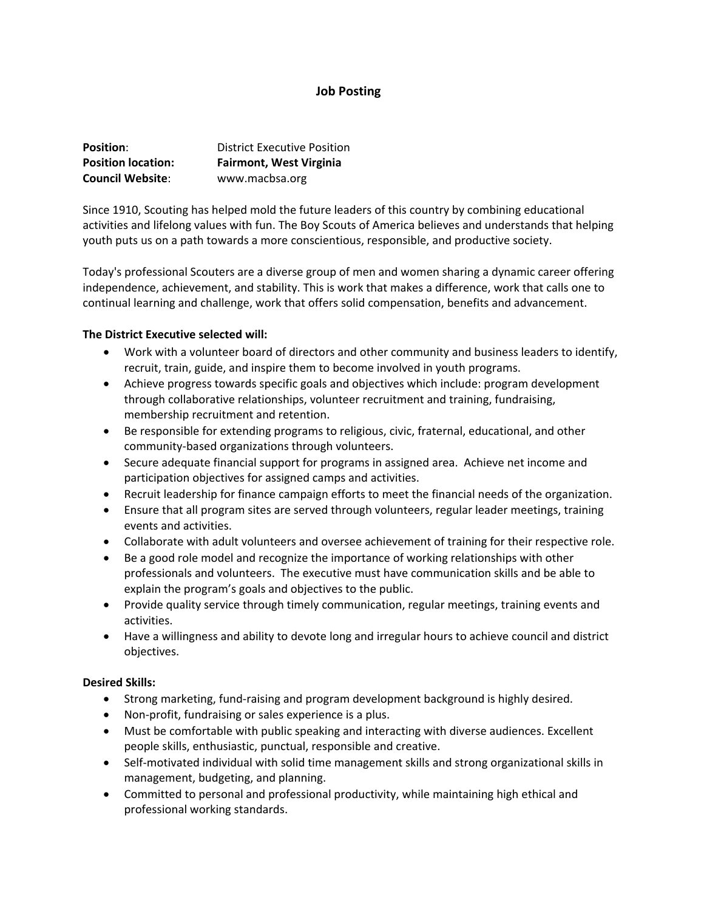# **Job Posting**

| <b>Position:</b>          | <b>District Executive Position</b> |
|---------------------------|------------------------------------|
| <b>Position location:</b> | <b>Fairmont, West Virginia</b>     |
| <b>Council Website:</b>   | www.macbsa.org                     |

Since 1910, Scouting has helped mold the future leaders of this country by combining educational activities and lifelong values with fun. The Boy Scouts of America believes and understands that helping youth puts us on a path towards a more conscientious, responsible, and productive society.

Today's professional Scouters are a diverse group of men and women sharing a dynamic career offering independence, achievement, and stability. This is work that makes a difference, work that calls one to continual learning and challenge, work that offers solid compensation, benefits and advancement.

## **The District Executive selected will:**

- Work with a volunteer board of directors and other community and business leaders to identify, recruit, train, guide, and inspire them to become involved in youth programs.
- Achieve progress towards specific goals and objectives which include: program development through collaborative relationships, volunteer recruitment and training, fundraising, membership recruitment and retention.
- Be responsible for extending programs to religious, civic, fraternal, educational, and other community‐based organizations through volunteers.
- Secure adequate financial support for programs in assigned area. Achieve net income and participation objectives for assigned camps and activities.
- Recruit leadership for finance campaign efforts to meet the financial needs of the organization.
- Ensure that all program sites are served through volunteers, regular leader meetings, training events and activities.
- Collaborate with adult volunteers and oversee achievement of training for their respective role.
- Be a good role model and recognize the importance of working relationships with other professionals and volunteers. The executive must have communication skills and be able to explain the program's goals and objectives to the public.
- Provide quality service through timely communication, regular meetings, training events and activities.
- Have a willingness and ability to devote long and irregular hours to achieve council and district objectives.

## **Desired Skills:**

- Strong marketing, fund-raising and program development background is highly desired.
- Non-profit, fundraising or sales experience is a plus.
- Must be comfortable with public speaking and interacting with diverse audiences. Excellent people skills, enthusiastic, punctual, responsible and creative.
- Self-motivated individual with solid time management skills and strong organizational skills in management, budgeting, and planning.
- Committed to personal and professional productivity, while maintaining high ethical and professional working standards.